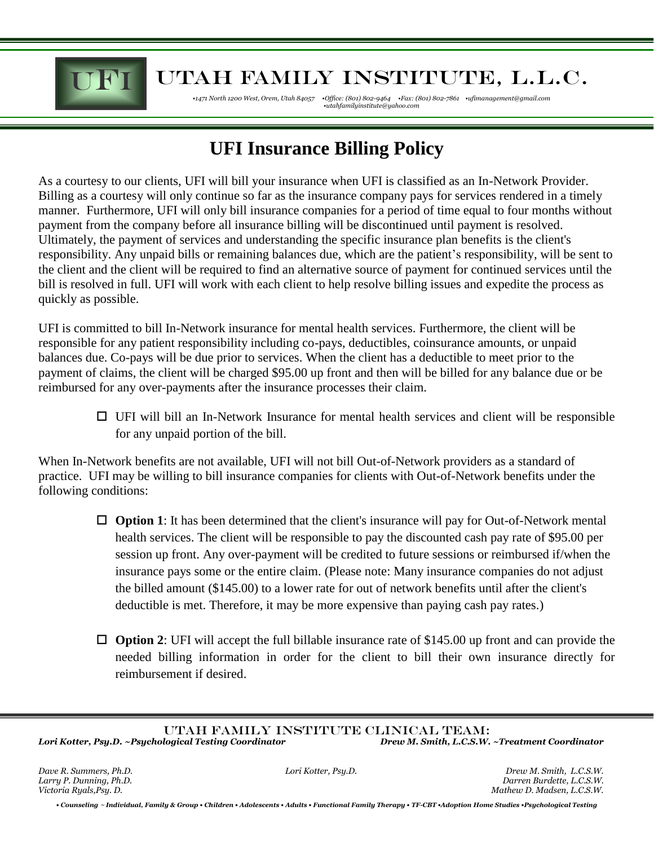

## **THE UTAH FAMILY INSTITUTE, L.L.C.**

*•1471 North 1200 West, Orem, Utah 84057 •Office: (801) 802-9464 •Fax: (801) 802-7861 •ufimanagement@gmail.com •utahfamilyinstitute@yahoo.com* 

## **UFI Insurance Billing Policy**

As a courtesy to our clients, UFI will bill your insurance when UFI is classified as an In-Network Provider. Billing as a courtesy will only continue so far as the insurance company pays for services rendered in a timely manner. Furthermore, UFI will only bill insurance companies for a period of time equal to four months without payment from the company before all insurance billing will be discontinued until payment is resolved. Ultimately, the payment of services and understanding the specific insurance plan benefits is the client's responsibility. Any unpaid bills or remaining balances due, which are the patient's responsibility, will be sent to the client and the client will be required to find an alternative source of payment for continued services until the bill is resolved in full. UFI will work with each client to help resolve billing issues and expedite the process as quickly as possible.

UFI is committed to bill In-Network insurance for mental health services. Furthermore, the client will be responsible for any patient responsibility including co-pays, deductibles, coinsurance amounts, or unpaid balances due. Co-pays will be due prior to services. When the client has a deductible to meet prior to the payment of claims, the client will be charged \$95.00 up front and then will be billed for any balance due or be reimbursed for any over-payments after the insurance processes their claim.

 $\Box$  UFI will bill an In-Network Insurance for mental health services and client will be responsible for any unpaid portion of the bill.

When In-Network benefits are not available, UFI will not bill Out-of-Network providers as a standard of practice. UFI may be willing to bill insurance companies for clients with Out-of-Network benefits under the following conditions:

- □ **Option 1**: It has been determined that the client's insurance will pay for Out-of-Network mental health services. The client will be responsible to pay the discounted cash pay rate of \$95.00 per session up front. Any over-payment will be credited to future sessions or reimbursed if/when the insurance pays some or the entire claim. (Please note: Many insurance companies do not adjust the billed amount (\$145.00) to a lower rate for out of network benefits until after the client's deductible is met. Therefore, it may be more expensive than paying cash pay rates.)
- **Option 2**: UFI will accept the full billable insurance rate of \$145.00 up front and can provide the needed billing information in order for the client to bill their own insurance directly for reimbursement if desired.

*• Counseling* **<sup>~</sup>** *Individual, Family & Group • Children • Adolescents • Adults • Functional Family Therapy • TF-CBT •Adoption Home Studies •Psychological Testing*